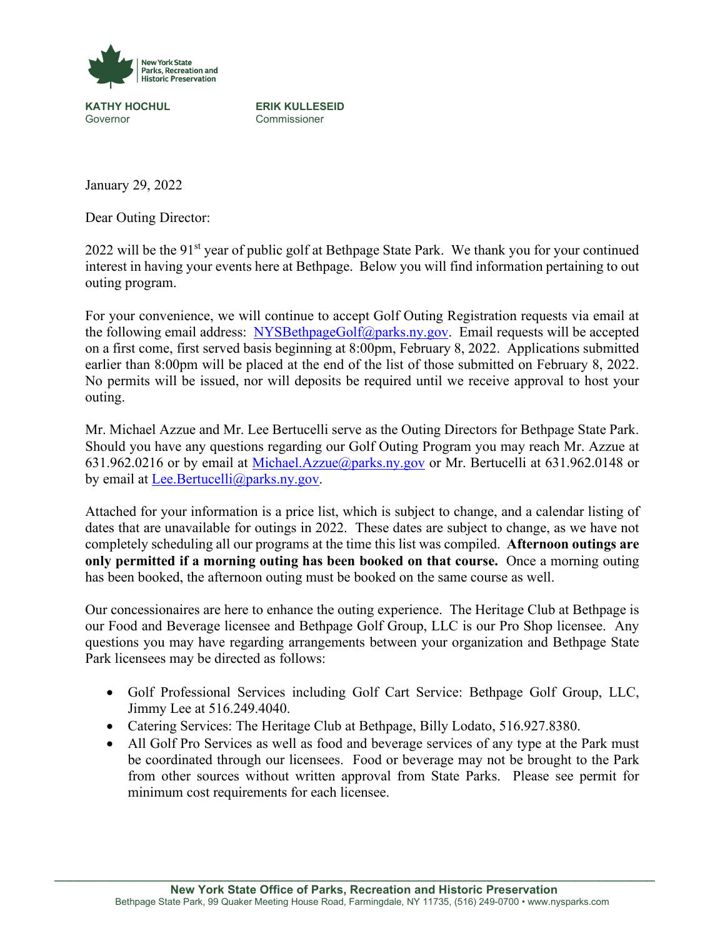

**KATHY HOCHUL ERIK KULLESEID**<br>
Governor Commissioner Commissioner

January 29, 2022

Dear Outing Director:

2022 will be the 91<sup>st</sup> year of public golf at Bethpage State Park. We thank you for your continued interest in having your events here at Bethpage. Below you will find information pertaining to out outing program.

For your convenience, we will continue to accept Golf Outing Registration requests via email at the following email address: [NYSBethpageGolf@parks.ny.gov.](mailto:NYSBethpageGolf@parks.ny.gov) Email requests will be accepted on a first come, first served basis beginning at 8:00pm, February 8, 2022. Applications submitted earlier than 8:00pm will be placed at the end of the list of those submitted on February 8, 2022. No permits will be issued, nor will deposits be required until we receive approval to host your outing.

Mr. Michael Azzue and Mr. Lee Bertucelli serve as the Outing Directors for Bethpage State Park. Should you have any questions regarding our Golf Outing Program you may reach Mr. Azzue at 631.962.0216 or by email at [Michael.Azzue@parks.ny.gov](mailto:Michael.Azzue@parks.ny.gov) or Mr. Bertucelli at 631.962.0148 or by email at [Lee.Bertucelli@parks.ny.gov.](mailto:Lee.Bertucelli@parks.ny.gov)

Attached for your information is a price list, which is subject to change, and a calendar listing of dates that are unavailable for outings in 2022. These dates are subject to change, as we have not completely scheduling all our programs at the time this list was compiled. **Afternoon outings are only permitted if a morning outing has been booked on that course.** Once a morning outing has been booked, the afternoon outing must be booked on the same course as well.

Our concessionaires are here to enhance the outing experience. The Heritage Club at Bethpage is our Food and Beverage licensee and Bethpage Golf Group, LLC is our Pro Shop licensee. Any questions you may have regarding arrangements between your organization and Bethpage State Park licensees may be directed as follows:

- Golf Professional Services including Golf Cart Service: Bethpage Golf Group, LLC, Jimmy Lee at 516.249.4040.
- Catering Services: The Heritage Club at Bethpage, Billy Lodato, 516.927.8380.
- All Golf Pro Services as well as food and beverage services of any type at the Park must be coordinated through our licensees. Food or beverage may not be brought to the Park from other sources without written approval from State Parks. Please see permit for minimum cost requirements for each licensee.

\_\_\_\_\_\_\_\_\_\_\_\_\_\_\_\_\_\_\_\_\_\_\_\_\_\_\_\_\_\_\_\_\_\_\_\_\_\_\_\_\_\_\_\_\_\_\_\_\_\_\_\_\_\_\_\_\_\_\_\_\_\_\_\_\_\_\_\_\_\_\_\_\_\_\_\_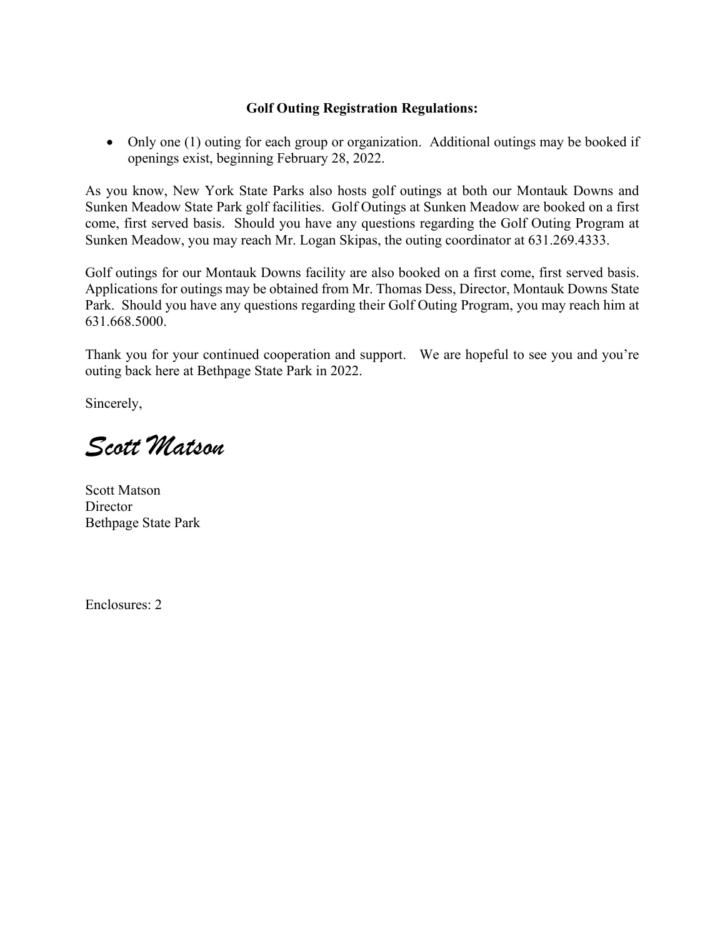# **Golf Outing Registration Regulations:**

• Only one (1) outing for each group or organization. Additional outings may be booked if openings exist, beginning February 28, 2022.

As you know, New York State Parks also hosts golf outings at both our Montauk Downs and Sunken Meadow State Park golf facilities. Golf Outings at Sunken Meadow are booked on a first come, first served basis. Should you have any questions regarding the Golf Outing Program at Sunken Meadow, you may reach Mr. Logan Skipas, the outing coordinator at 631.269.4333.

Golf outings for our Montauk Downs facility are also booked on a first come, first served basis. Applications for outings may be obtained from Mr. Thomas Dess, Director, Montauk Downs State Park. Should you have any questions regarding their Golf Outing Program, you may reach him at 631.668.5000.

Thank you for your continued cooperation and support. We are hopeful to see you and you're outing back here at Bethpage State Park in 2022.

Sincerely,

*Scott Matson*

Scott Matson **Director** Bethpage State Park

Enclosures: 2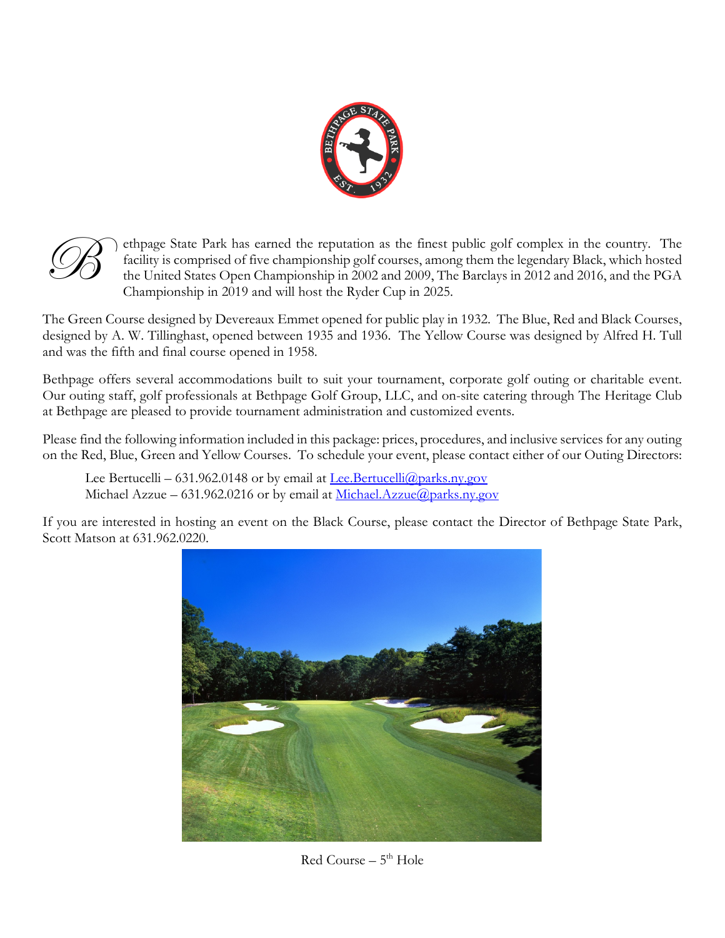



ethpage State Park has earned the reputation as the finest public golf complex in the country. The facility is comprised of five championship golf courses, among them the legendary Black, which hosted the United States Open Championship in 2002 and 2009, The Barclays in 2012 and 2016, and the PGA Championship in 2019 and will host the Ryder Cup in 2025.

The Green Course designed by Devereaux Emmet opened for public play in 1932. The Blue, Red and Black Courses, designed by A. W. Tillinghast, opened between 1935 and 1936. The Yellow Course was designed by Alfred H. Tull and was the fifth and final course opened in 1958.

Bethpage offers several accommodations built to suit your tournament, corporate golf outing or charitable event. Our outing staff, golf professionals at Bethpage Golf Group, LLC, and on-site catering through The Heritage Club at Bethpage are pleased to provide tournament administration and customized events.

Please find the following information included in this package: prices, procedures, and inclusive services for any outing on the Red, Blue, Green and Yellow Courses. To schedule your event, please contact either of our Outing Directors:

Lee Bertucelli – 631.962.0148 or by email at Lee Bertucelli ( $\partial$ ) parks.ny.gov Michael Azzue – 631.962.0216 or by email at [Michael.Azzue@parks.ny.gov](mailto:Michael.Azzue@parks.ny.gov)

If you are interested in hosting an event on the Black Course, please contact the Director of Bethpage State Park, Scott Matson at 631.962.0220.



 $Red$  Course –  $5<sup>th</sup>$  Hole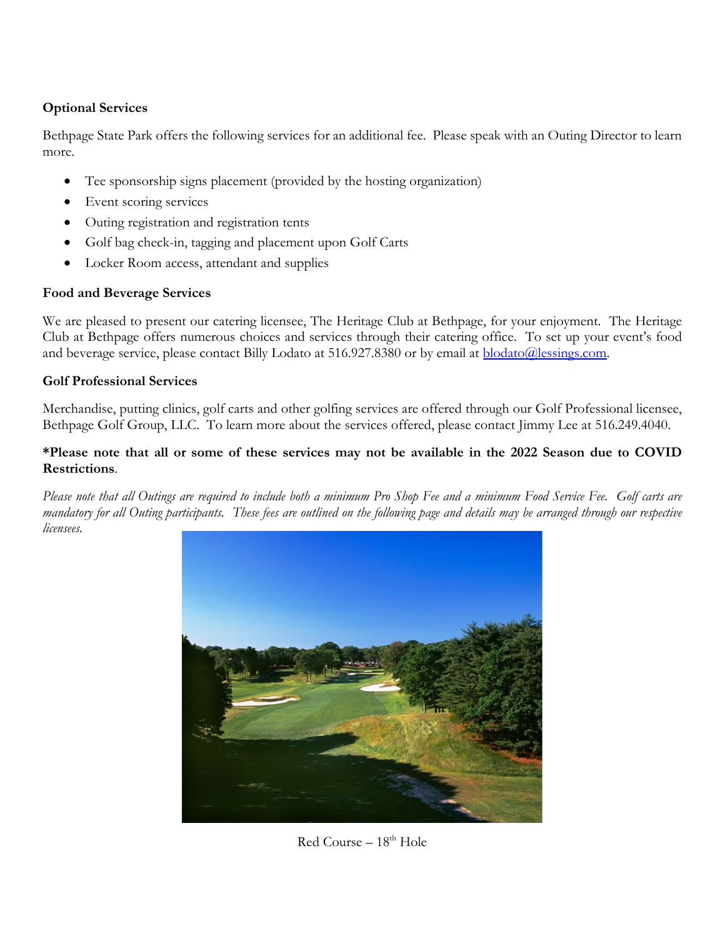# **Optional Services**

Bethpage State Park offers the following services for an additional fee. Please speak with an Outing Director to learn more.

- Tee sponsorship signs placement (provided by the hosting organization)
- Event scoring services
- Outing registration and registration tents
- Golf bag check-in, tagging and placement upon Golf Carts
- Locker Room access, attendant and supplies

## **Food and Beverage Services**

We are pleased to present our catering licensee, The Heritage Club at Bethpage, for your enjoyment. The Heritage Club at Bethpage offers numerous choices and services through their catering office. To set up your event's food and beverage service, please contact Billy Lodato at 516.927.8380 or by email at **blodato@lessings.com**.

## **Golf Professional Services**

Merchandise, putting clinics, golf carts and other golfing services are offered through our Golf Professional licensee, Bethpage Golf Group, LLC. To learn more about the services offered, please contact Jimmy Lee at 516.249.4040.

## **\*Please note that all or some of these services may not be available in the 2022 Season due to COVID Restrictions**.

*Please note that all Outings are required to include both a minimum Pro Shop Fee and a minimum Food Service Fee. Golf carts are mandatory for all Outing participants. These fees are outlined on the following page and details may be arranged through our respective licensees.*



 $Red$  Course –  $18<sup>th</sup>$  Hole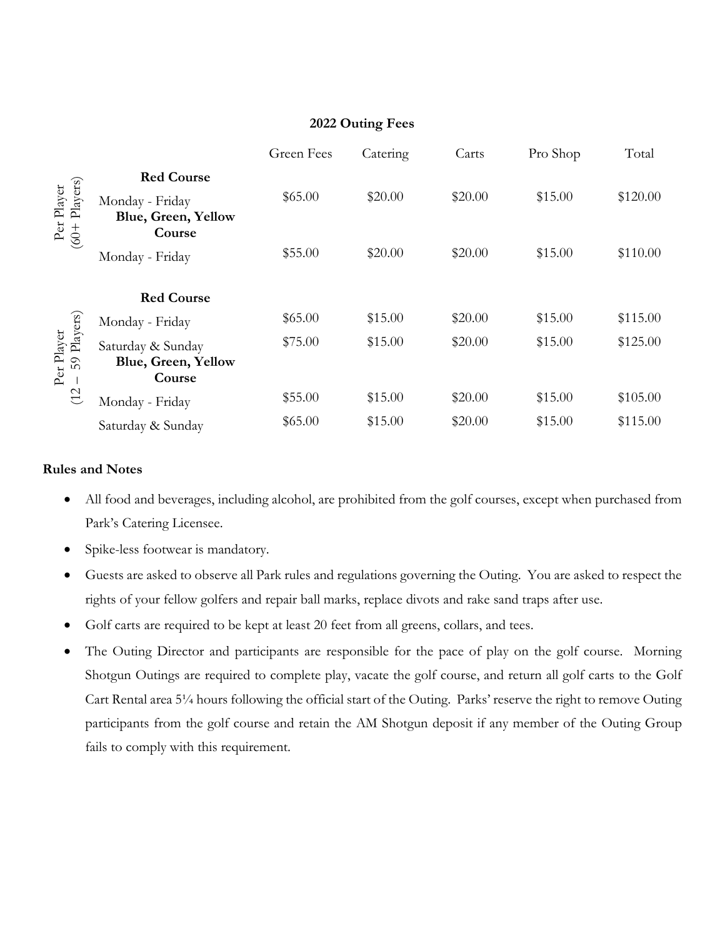# **2022 Outing Fees**

|                                                             |                                                             | Green Fees | Catering | Carts   | Pro Shop | Total    |
|-------------------------------------------------------------|-------------------------------------------------------------|------------|----------|---------|----------|----------|
| Per Player<br>(60+ Players)                                 | <b>Red Course</b><br>Monday - Friday<br>Blue, Green, Yellow | \$65.00    | \$20.00  | \$20.00 | \$15.00  | \$120.00 |
|                                                             | Course<br>Monday - Friday                                   | \$55.00    | \$20.00  | \$20.00 | \$15.00  | \$110.00 |
|                                                             | <b>Red Course</b>                                           |            |          |         |          |          |
| Per Player<br>: – 59 Players)<br>$\mathcal{C}$<br>$\subset$ | Monday - Friday                                             | \$65.00    | \$15.00  | \$20.00 | \$15.00  | \$115.00 |
|                                                             | Saturday & Sunday<br><b>Blue, Green, Yellow</b><br>Course   | \$75.00    | \$15.00  | \$20.00 | \$15.00  | \$125.00 |
|                                                             | Monday - Friday                                             | \$55.00    | \$15.00  | \$20.00 | \$15.00  | \$105.00 |
|                                                             | Saturday & Sunday                                           | \$65.00    | \$15.00  | \$20.00 | \$15.00  | \$115.00 |

### **Rules and Notes**

- All food and beverages, including alcohol, are prohibited from the golf courses, except when purchased from Park's Catering Licensee.
- Spike-less footwear is mandatory.
- Guests are asked to observe all Park rules and regulations governing the Outing. You are asked to respect the rights of your fellow golfers and repair ball marks, replace divots and rake sand traps after use.
- Golf carts are required to be kept at least 20 feet from all greens, collars, and tees.
- The Outing Director and participants are responsible for the pace of play on the golf course. Morning Shotgun Outings are required to complete play, vacate the golf course, and return all golf carts to the Golf Cart Rental area 5¼ hours following the official start of the Outing. Parks' reserve the right to remove Outing participants from the golf course and retain the AM Shotgun deposit if any member of the Outing Group fails to comply with this requirement.